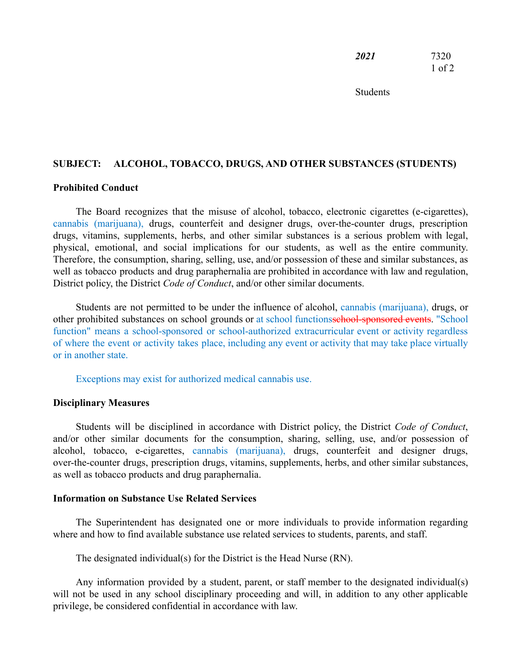| 2021 | 7320       |
|------|------------|
|      | $1$ of $2$ |

Students

## **SUBJECT: ALCOHOL, TOBACCO, DRUGS, AND OTHER SUBSTANCES (STUDENTS)**

### **Prohibited Conduct**

The Board recognizes that the misuse of alcohol, tobacco, electronic cigarettes (e-cigarettes), cannabis (marijuana), drugs, counterfeit and designer drugs, over-the-counter drugs, prescription drugs, vitamins, supplements, herbs, and other similar substances is a serious problem with legal, physical, emotional, and social implications for our students, as well as the entire community. Therefore, the consumption, sharing, selling, use, and/or possession of these and similar substances, as well as tobacco products and drug paraphernalia are prohibited in accordance with law and regulation, District policy, the District *Code of Conduct*, and/or other similar documents.

Students are not permitted to be under the influence of alcohol, cannabis (marijuana), drugs, or other prohibited substances on school grounds or at school functions school-sponsored events. "School function" means a school-sponsored or school-authorized extracurricular event or activity regardless of where the event or activity takes place, including any event or activity that may take place virtually or in another state.

Exceptions may exist for authorized medical cannabis use.

#### **Disciplinary Measures**

Students will be disciplined in accordance with District policy, the District *Code of Conduct*, and/or other similar documents for the consumption, sharing, selling, use, and/or possession of alcohol, tobacco, e-cigarettes, cannabis (marijuana), drugs, counterfeit and designer drugs, over-the-counter drugs, prescription drugs, vitamins, supplements, herbs, and other similar substances, as well as tobacco products and drug paraphernalia.

## **Information on Substance Use Related Services**

The Superintendent has designated one or more individuals to provide information regarding where and how to find available substance use related services to students, parents, and staff.

The designated individual(s) for the District is the Head Nurse (RN).

Any information provided by a student, parent, or staff member to the designated individual(s) will not be used in any school disciplinary proceeding and will, in addition to any other applicable privilege, be considered confidential in accordance with law.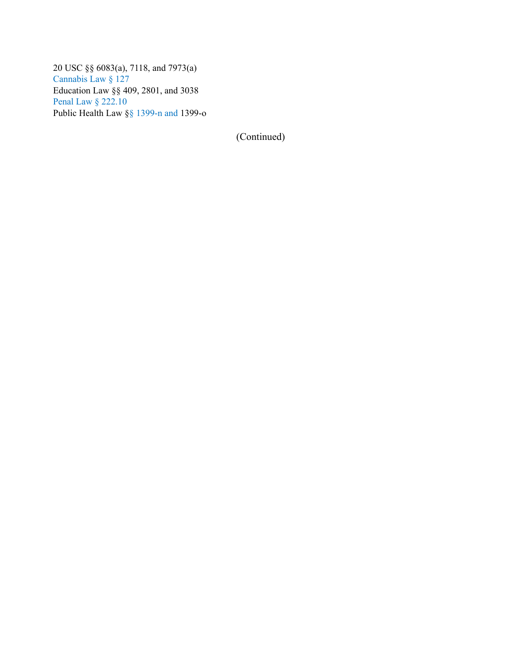20 USC §§ 6083(a), 7118, and 7973(a) Cannabis Law § 127 Education Law §§ 409, 2801, and 3038 Penal Law § 222.10 Public Health Law §§ 1399-n and 1399-o

(Continued)